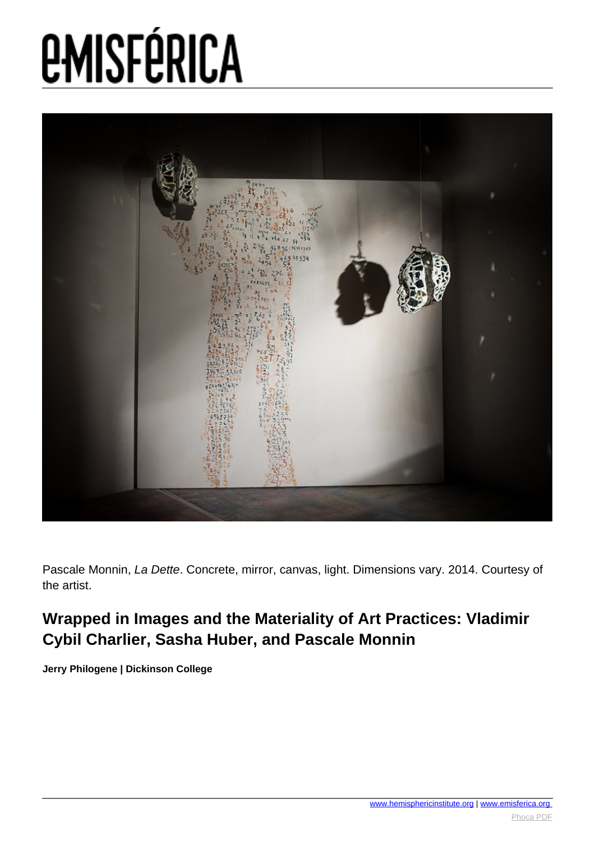

Pascale Monnin, La Dette. Concrete, mirror, canvas, light. Dimensions vary. 2014. Courtesy of the artist.

#### **Wrapped in Images and the Materiality of Art Practices: Vladimir Cybil Charlier, Sasha Huber, and Pascale Monnin**

**Jerry Philogene | Dickinson College**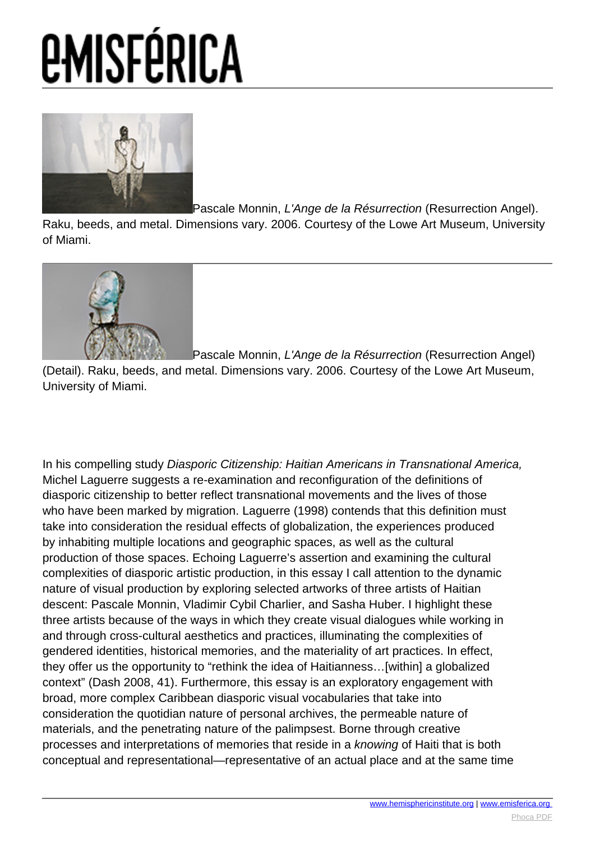

[P](images/e-misferica/11.2_images/112_lg_philogene_11.jpg)ascale Monnin, L'Ange de la Résurrection (Resurrection Angel).

Raku, beeds, and metal. Dimensions vary. 2006. Courtesy of the Lowe Art Museum, University of Miami.



[P](images/e-misferica/11.2_images/112_lg_philogene_09.jpg)ascale Monnin, L'Ange de la Résurrection (Resurrection Angel)

(Detail). Raku, beeds, and metal. Dimensions vary. 2006. Courtesy of the Lowe Art Museum, University of Miami.

In his compelling study Diasporic Citizenship: Haitian Americans in Transnational America, Michel Laguerre suggests a re-examination and reconfiguration of the definitions of diasporic citizenship to better reflect transnational movements and the lives of those who have been marked by migration. Laguerre (1998) contends that this definition must take into consideration the residual effects of globalization, the experiences produced by inhabiting multiple locations and geographic spaces, as well as the cultural production of those spaces. Echoing Laguerre's assertion and examining the cultural complexities of diasporic artistic production, in this essay I call attention to the dynamic nature of visual production by exploring selected artworks of three artists of Haitian descent: Pascale Monnin, Vladimir Cybil Charlier, and Sasha Huber. I highlight these three artists because of the ways in which they create visual dialogues while working in and through cross-cultural aesthetics and practices, illuminating the complexities of gendered identities, historical memories, and the materiality of art practices. In effect, they offer us the opportunity to "rethink the idea of Haitianness…[within] a globalized context" (Dash 2008, 41). Furthermore, this essay is an exploratory engagement with broad, more complex Caribbean diasporic visual vocabularies that take into consideration the quotidian nature of personal archives, the permeable nature of materials, and the penetrating nature of the palimpsest. Borne through creative processes and interpretations of memories that reside in a knowing of Haiti that is both conceptual and representational—representative of an actual place and at the same time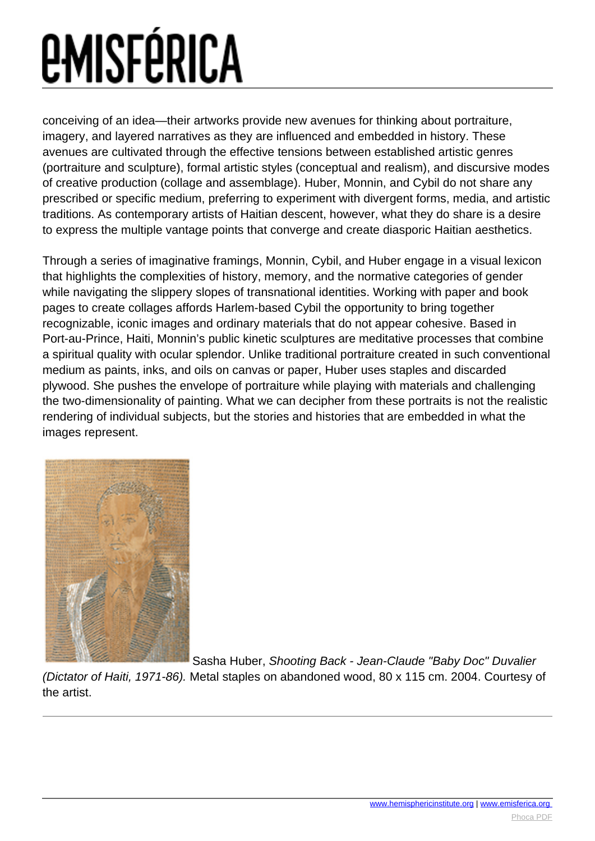conceiving of an idea—their artworks provide new avenues for thinking about portraiture, imagery, and layered narratives as they are influenced and embedded in history. These avenues are cultivated through the effective tensions between established artistic genres (portraiture and sculpture), formal artistic styles (conceptual and realism), and discursive modes of creative production (collage and assemblage). Huber, Monnin, and Cybil do not share any prescribed or specific medium, preferring to experiment with divergent forms, media, and artistic traditions. As contemporary artists of Haitian descent, however, what they do share is a desire to express the multiple vantage points that converge and create diasporic Haitian aesthetics.

Through a series of imaginative framings, Monnin, Cybil, and Huber engage in a visual lexicon that highlights the complexities of history, memory, and the normative categories of gender while navigating the slippery slopes of transnational identities. Working with paper and book pages to create collages affords Harlem-based Cybil the opportunity to bring together recognizable, iconic images and ordinary materials that do not appear cohesive. Based in Port-au-Prince, Haiti, Monnin's public kinetic sculptures are meditative processes that combine a spiritual quality with ocular splendor. Unlike traditional portraiture created in such conventional medium as paints, inks, and oils on canvas or paper, Huber uses staples and discarded plywood. She pushes the envelope of portraiture while playing with materials and challenging the two-dimensionality of painting. What we can decipher from these portraits is not the realistic rendering of individual subjects, but the stories and histories that are embedded in what the images represent.



[S](images/e-misferica/11.2_images/112_lg_philogene_04.jpg)asha Huber, Shooting Back - Jean-Claude "Baby Doc" Duvalier

(Dictator of Haiti, 1971-86). Metal staples on abandoned wood, 80 x 115 cm. 2004. Courtesy of the artist.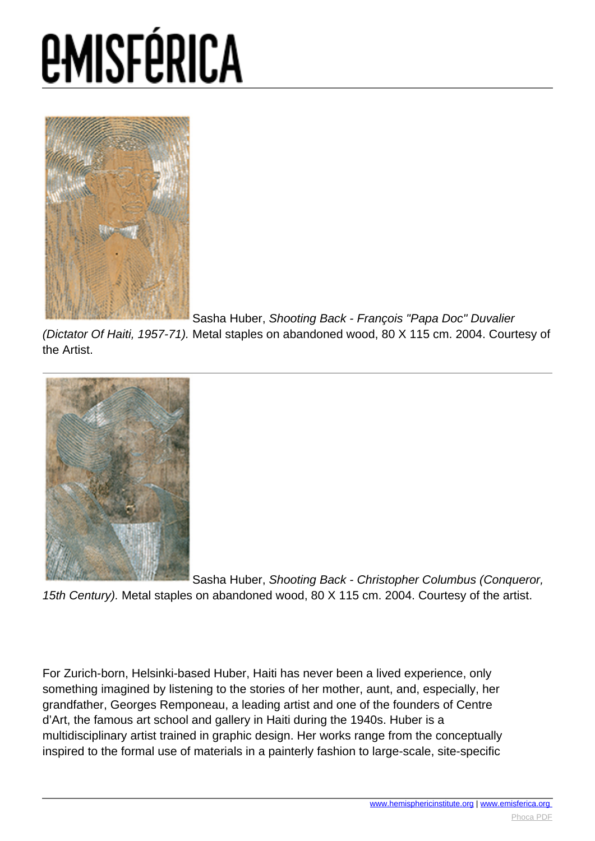

[S](images/e-misferica/11.2_images/112_lg_philogene_05.jpg)asha Huber, Shooting Back - François "Papa Doc" Duvalier

(Dictator Of Haiti, 1957-71). Metal staples on abandoned wood, 80 X 115 cm. 2004. Courtesy of the Artist.



[S](images/e-misferica/11.2_images/112_lg_philogene_06.jpg)asha Huber, Shooting Back - Christopher Columbus (Conqueror, 15th Century). Metal staples on abandoned wood, 80 X 115 cm. 2004. Courtesy of the artist.

For Zurich-born, Helsinki-based Huber, Haiti has never been a lived experience, only something imagined by listening to the stories of her mother, aunt, and, especially, her grandfather, Georges Remponeau, a leading artist and one of the founders of Centre d'Art, the famous art school and gallery in Haiti during the 1940s. Huber is a multidisciplinary artist trained in graphic design. Her works range from the conceptually inspired to the formal use of materials in a painterly fashion to large-scale, site-specific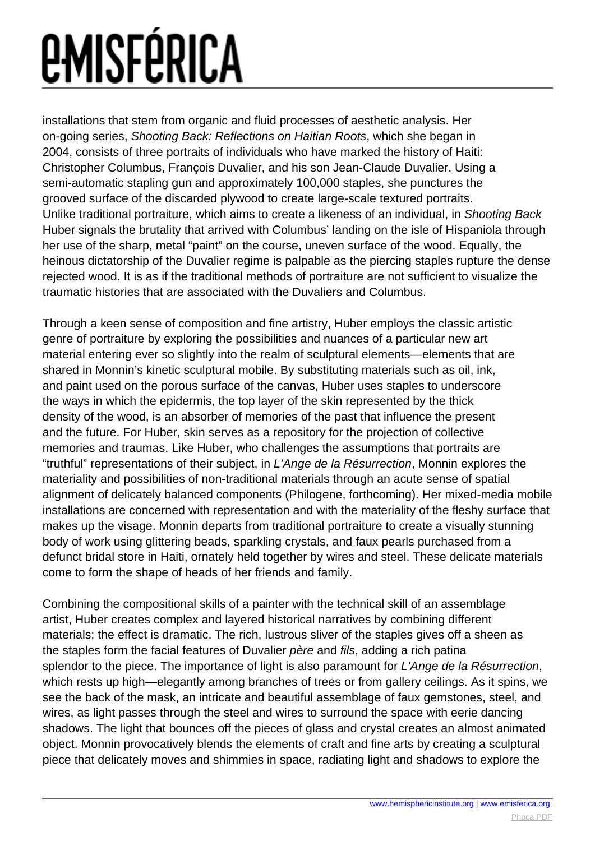installations that stem from organic and fluid processes of aesthetic analysis. Her on-going series, Shooting Back: Reflections on Haitian Roots, which she began in 2004, consists of three portraits of individuals who have marked the history of Haiti: Christopher Columbus, François Duvalier, and his son Jean-Claude Duvalier. Using a semi-automatic stapling gun and approximately 100,000 staples, she punctures the grooved surface of the discarded plywood to create large-scale textured portraits. Unlike traditional portraiture, which aims to create a likeness of an individual, in Shooting Back Huber signals the brutality that arrived with Columbus' landing on the isle of Hispaniola through her use of the sharp, metal "paint" on the course, uneven surface of the wood. Equally, the heinous dictatorship of the Duvalier regime is palpable as the piercing staples rupture the dense rejected wood. It is as if the traditional methods of portraiture are not sufficient to visualize the traumatic histories that are associated with the Duvaliers and Columbus.

Through a keen sense of composition and fine artistry, Huber employs the classic artistic genre of portraiture by exploring the possibilities and nuances of a particular new art material entering ever so slightly into the realm of sculptural elements—elements that are shared in Monnin's kinetic sculptural mobile. By substituting materials such as oil, ink, and paint used on the porous surface of the canvas, Huber uses staples to underscore the ways in which the epidermis, the top layer of the skin represented by the thick density of the wood, is an absorber of memories of the past that influence the present and the future. For Huber, skin serves as a repository for the projection of collective memories and traumas. Like Huber, who challenges the assumptions that portraits are "truthful" representations of their subject, in L'Ange de la Résurrection, Monnin explores the materiality and possibilities of non-traditional materials through an acute sense of spatial alignment of delicately balanced components (Philogene, forthcoming). Her mixed-media mobile installations are concerned with representation and with the materiality of the fleshy surface that makes up the visage. Monnin departs from traditional portraiture to create a visually stunning body of work using glittering beads, sparkling crystals, and faux pearls purchased from a defunct bridal store in Haiti, ornately held together by wires and steel. These delicate materials come to form the shape of heads of her friends and family.

Combining the compositional skills of a painter with the technical skill of an assemblage artist, Huber creates complex and layered historical narratives by combining different materials; the effect is dramatic. The rich, lustrous sliver of the staples gives off a sheen as the staples form the facial features of Duvalier père and fils, adding a rich patina splendor to the piece. The importance of light is also paramount for L'Ange de la Résurrection, which rests up high—elegantly among branches of trees or from gallery ceilings. As it spins, we see the back of the mask, an intricate and beautiful assemblage of faux gemstones, steel, and wires, as light passes through the steel and wires to surround the space with eerie dancing shadows. The light that bounces off the pieces of glass and crystal creates an almost animated object. Monnin provocatively blends the elements of craft and fine arts by creating a sculptural piece that delicately moves and shimmies in space, radiating light and shadows to explore the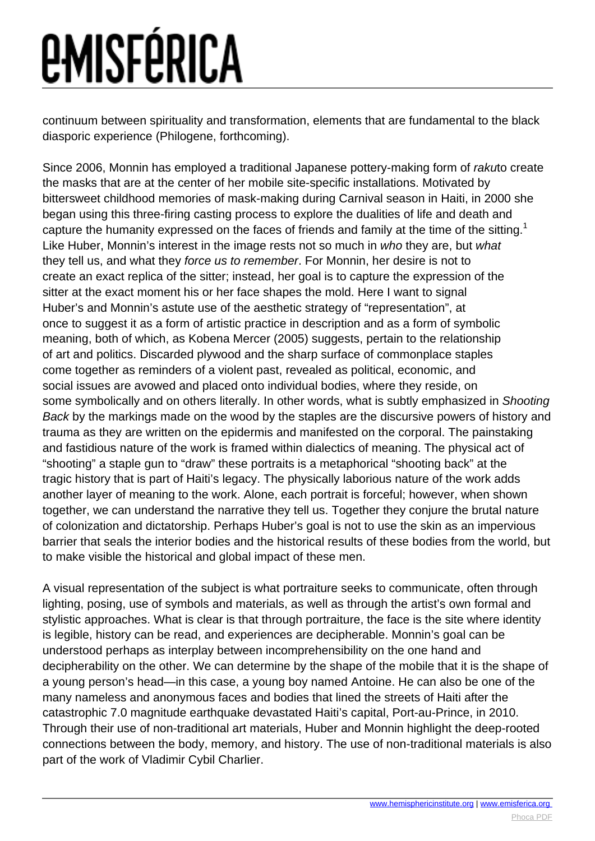continuum between spirituality and transformation, elements that are fundamental to the black diasporic experience (Philogene, forthcoming).

Since 2006, Monnin has employed a traditional Japanese pottery-making form of rakuto create the masks that are at the center of her mobile site-specific installations. Motivated by bittersweet childhood memories of mask-making during Carnival season in Haiti, in 2000 she began using this three-firing casting process to explore the dualities of life and death and capture the humanity expressed on the faces of friends and family at the time of the sitting.<sup>1</sup> Like Huber, Monnin's interest in the image rests not so much in who they are, but what they tell us, and what they force us to remember. For Monnin, her desire is not to create an exact replica of the sitter; instead, her goal is to capture the expression of the sitter at the exact moment his or her face shapes the mold. Here I want to signal Huber's and Monnin's astute use of the aesthetic strategy of "representation", at once to suggest it as a form of artistic practice in description and as a form of symbolic meaning, both of which, as Kobena Mercer (2005) suggests, pertain to the relationship of art and politics. Discarded plywood and the sharp surface of commonplace staples come together as reminders of a violent past, revealed as political, economic, and social issues are avowed and placed onto individual bodies, where they reside, on some symbolically and on others literally. In other words, what is subtly emphasized in Shooting Back by the markings made on the wood by the staples are the discursive powers of history and trauma as they are written on the epidermis and manifested on the corporal. The painstaking and fastidious nature of the work is framed within dialectics of meaning. The physical act of "shooting" a staple gun to "draw" these portraits is a metaphorical "shooting back" at the tragic history that is part of Haiti's legacy. The physically laborious nature of the work adds another layer of meaning to the work. Alone, each portrait is forceful; however, when shown together, we can understand the narrative they tell us. Together they conjure the brutal nature of colonization and dictatorship. Perhaps Huber's goal is not to use the skin as an impervious barrier that seals the interior bodies and the historical results of these bodies from the world, but to make visible the historical and global impact of these men.

A visual representation of the subject is what portraiture seeks to communicate, often through lighting, posing, use of symbols and materials, as well as through the artist's own formal and stylistic approaches. What is clear is that through portraiture, the face is the site where identity is legible, history can be read, and experiences are decipherable. Monnin's goal can be understood perhaps as interplay between incomprehensibility on the one hand and decipherability on the other. We can determine by the shape of the mobile that it is the shape of a young person's head—in this case, a young boy named Antoine. He can also be one of the many nameless and anonymous faces and bodies that lined the streets of Haiti after the catastrophic 7.0 magnitude earthquake devastated Haiti's capital, Port-au-Prince, in 2010. Through their use of non-traditional art materials, Huber and Monnin highlight the deep-rooted connections between the body, memory, and history. The use of non-traditional materials is also part of the work of Vladimir Cybil Charlier.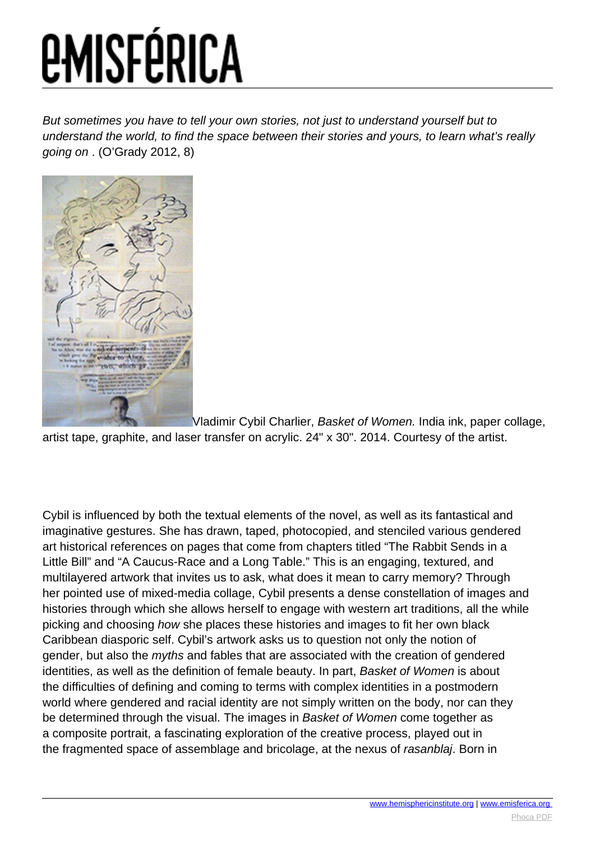But sometimes you have to tell your own stories, not just to understand yourself but to understand the world, to find the space between their stories and yours, to learn what's really going on . (O'Grady 2012, 8)



[V](images/e-misferica/11.2_images/112_lg_philogene_03.jpg)ladimir Cybil Charlier, Basket of Women. India ink, paper collage, artist tape, graphite, and laser transfer on acrylic. 24" x 30". 2014. Courtesy of the artist.

Cybil is influenced by both the textual elements of the novel, as well as its fantastical and imaginative gestures. She has drawn, taped, photocopied, and stenciled various gendered art historical references on pages that come from chapters titled "The Rabbit Sends in a Little Bill" and "A Caucus-Race and a Long Table." This is an engaging, textured, and multilayered artwork that invites us to ask, what does it mean to carry memory? Through her pointed use of mixed-media collage, Cybil presents a dense constellation of images and histories through which she allows herself to engage with western art traditions, all the while picking and choosing how she places these histories and images to fit her own black Caribbean diasporic self. Cybil's artwork asks us to question not only the notion of gender, but also the *myths* and fables that are associated with the creation of gendered identities, as well as the definition of female beauty. In part, Basket of Women is about the difficulties of defining and coming to terms with complex identities in a postmodern world where gendered and racial identity are not simply written on the body, nor can they be determined through the visual. The images in Basket of Women come together as a composite portrait, a fascinating exploration of the creative process, played out in the fragmented space of assemblage and bricolage, at the nexus of rasanblaj. Born in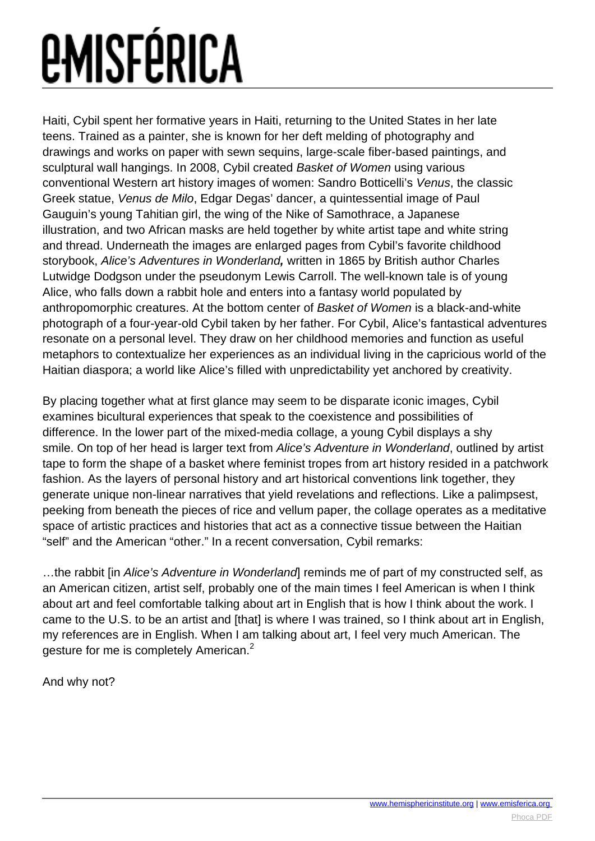Haiti, Cybil spent her formative years in Haiti, returning to the United States in her late teens. Trained as a painter, she is known for her deft melding of photography and drawings and works on paper with sewn sequins, large-scale fiber-based paintings, and sculptural wall hangings. In 2008, Cybil created Basket of Women using various conventional Western art history images of women: Sandro Botticelli's Venus, the classic Greek statue, Venus de Milo, Edgar Degas' dancer, a quintessential image of Paul Gauguin's young Tahitian girl, the wing of the Nike of Samothrace, a Japanese illustration, and two African masks are held together by white artist tape and white string and thread. Underneath the images are enlarged pages from Cybil's favorite childhood storybook, Alice's Adventures in Wonderland**,** written in 1865 by British author Charles Lutwidge Dodgson under the pseudonym Lewis Carroll. The well-known tale is of young Alice, who falls down a rabbit hole and enters into a fantasy world populated by anthropomorphic creatures. At the bottom center of Basket of Women is a black-and-white photograph of a four-year-old Cybil taken by her father. For Cybil, Alice's fantastical adventures resonate on a personal level. They draw on her childhood memories and function as useful metaphors to contextualize her experiences as an individual living in the capricious world of the Haitian diaspora; a world like Alice's filled with unpredictability yet anchored by creativity.

By placing together what at first glance may seem to be disparate iconic images, Cybil examines bicultural experiences that speak to the coexistence and possibilities of difference. In the lower part of the mixed-media collage, a young Cybil displays a shy smile. On top of her head is larger text from Alice's Adventure in Wonderland, outlined by artist tape to form the shape of a basket where feminist tropes from art history resided in a patchwork fashion. As the layers of personal history and art historical conventions link together, they generate unique non-linear narratives that yield revelations and reflections. Like a palimpsest, peeking from beneath the pieces of rice and vellum paper, the collage operates as a meditative space of artistic practices and histories that act as a connective tissue between the Haitian "self" and the American "other." In a recent conversation, Cybil remarks:

...the rabbit [in Alice's Adventure in Wonderland] reminds me of part of my constructed self, as an American citizen, artist self, probably one of the main times I feel American is when I think about art and feel comfortable talking about art in English that is how I think about the work. I came to the U.S. to be an artist and [that] is where I was trained, so I think about art in English, my references are in English. When I am talking about art, I feel very much American. The gesture for me is completely American.<sup>2</sup>

And why not?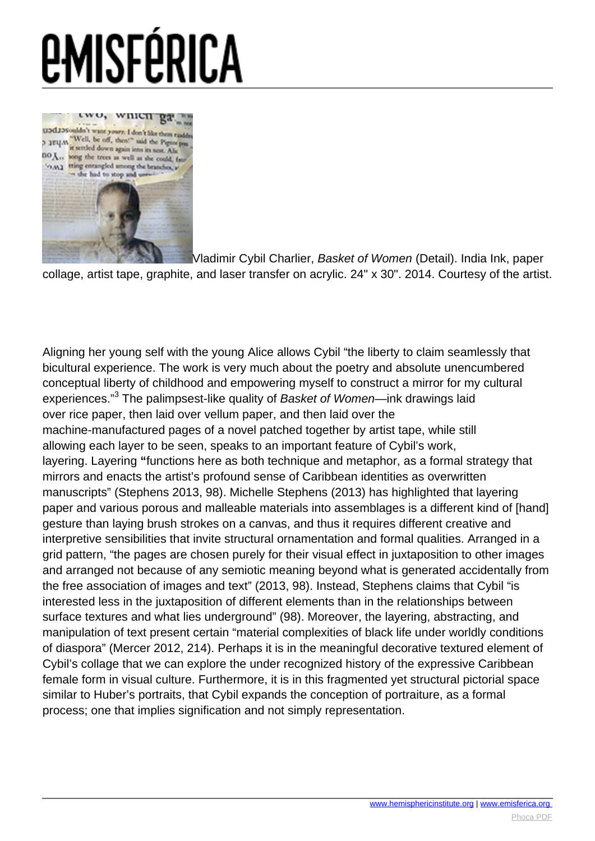

[V](images/e-misferica/11.2_images/112_lg_philogene_01.jpg)ladimir Cybil Charlier, Basket of Women (Detail). India Ink, paper

collage, artist tape, graphite, and laser transfer on acrylic. 24" x 30". 2014. Courtesy of the artist.

Aligning her young self with the young Alice allows Cybil "the liberty to claim seamlessly that bicultural experience. The work is very much about the poetry and absolute unencumbered conceptual liberty of childhood and empowering myself to construct a mirror for my cultural experiences."<sup>3</sup> The palimpsest-like quality of *Basket of Women—*ink drawings laid over rice paper, then laid over vellum paper, and then laid over the machine-manufactured pages of a novel patched together by artist tape, while still allowing each layer to be seen, speaks to an important feature of Cybil's work, layering. Layering **"**functions here as both technique and metaphor, as a formal strategy that mirrors and enacts the artist's profound sense of Caribbean identities as overwritten manuscripts" (Stephens 2013, 98). Michelle Stephens (2013) has highlighted that layering paper and various porous and malleable materials into assemblages is a different kind of [hand] gesture than laying brush strokes on a canvas, and thus it requires different creative and interpretive sensibilities that invite structural ornamentation and formal qualities. Arranged in a grid pattern, "the pages are chosen purely for their visual effect in juxtaposition to other images and arranged not because of any semiotic meaning beyond what is generated accidentally from the free association of images and text" (2013, 98). Instead, Stephens claims that Cybil "is interested less in the juxtaposition of different elements than in the relationships between surface textures and what lies underground" (98). Moreover, the layering, abstracting, and manipulation of text present certain "material complexities of black life under worldly conditions of diaspora" (Mercer 2012, 214). Perhaps it is in the meaningful decorative textured element of Cybil's collage that we can explore the under recognized history of the expressive Caribbean female form in visual culture. Furthermore, it is in this fragmented yet structural pictorial space similar to Huber's portraits, that Cybil expands the conception of portraiture, as a formal process; one that implies signification and not simply representation.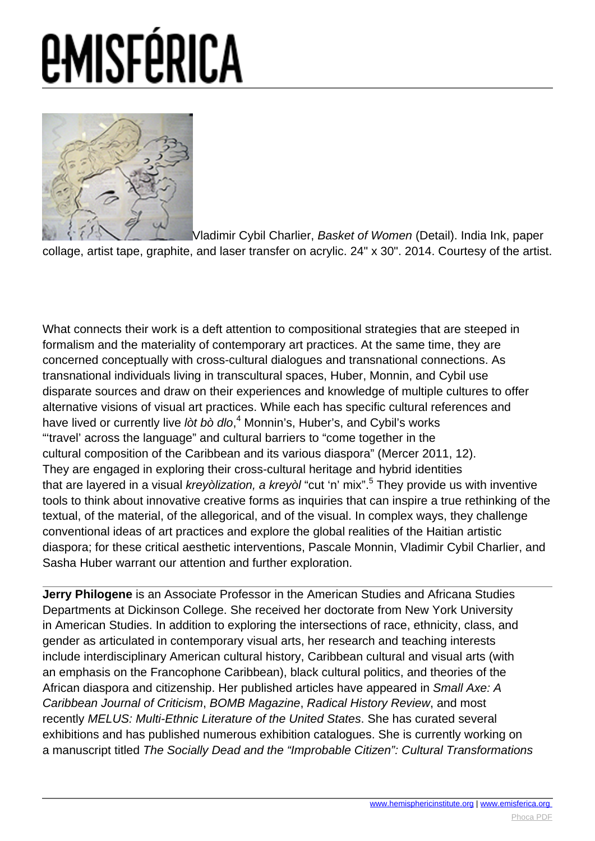

[V](images/e-misferica/11.2_images/112_lg_philogene_02.jpg)ladimir Cybil Charlier, Basket of Women (Detail). India Ink, paper collage, artist tape, graphite, and laser transfer on acrylic. 24" x 30". 2014. Courtesy of the artist.

What connects their work is a deft attention to compositional strategies that are steeped in formalism and the materiality of contemporary art practices. At the same time, they are concerned conceptually with cross-cultural dialogues and transnational connections. As transnational individuals living in transcultural spaces, Huber, Monnin, and Cybil use disparate sources and draw on their experiences and knowledge of multiple cultures to offer alternative visions of visual art practices. While each has specific cultural references and have lived or currently live lòt bò dlo,<sup>4</sup> Monnin's, Huber's, and Cybil's works "'travel' across the language" and cultural barriers to "come together in the cultural composition of the Caribbean and its various diaspora" (Mercer 2011, 12). They are engaged in exploring their cross-cultural heritage and hybrid identities that are layered in a visual *kreyòlization, a kreyòl* "cut 'n' mix".<sup>5</sup> They provide us with inventive tools to think about innovative creative forms as inquiries that can inspire a true rethinking of the textual, of the material, of the allegorical, and of the visual. In complex ways, they challenge conventional ideas of art practices and explore the global realities of the Haitian artistic diaspora; for these critical aesthetic interventions, Pascale Monnin, Vladimir Cybil Charlier, and Sasha Huber warrant our attention and further exploration.

**Jerry Philogene** is an Associate Professor in the American Studies and Africana Studies Departments at Dickinson College. She received her doctorate from New York University in American Studies. In addition to exploring the intersections of race, ethnicity, class, and gender as articulated in contemporary visual arts, her research and teaching interests include interdisciplinary American cultural history, Caribbean cultural and visual arts (with an emphasis on the Francophone Caribbean), black cultural politics, and theories of the African diaspora and citizenship. Her published articles have appeared in Small Axe: A Caribbean Journal of Criticism, BOMB Magazine, Radical History Review, and most recently MELUS: Multi-Ethnic Literature of the United States. She has curated several exhibitions and has published numerous exhibition catalogues. She is currently working on a manuscript titled The Socially Dead and the "Improbable Citizen": Cultural Transformations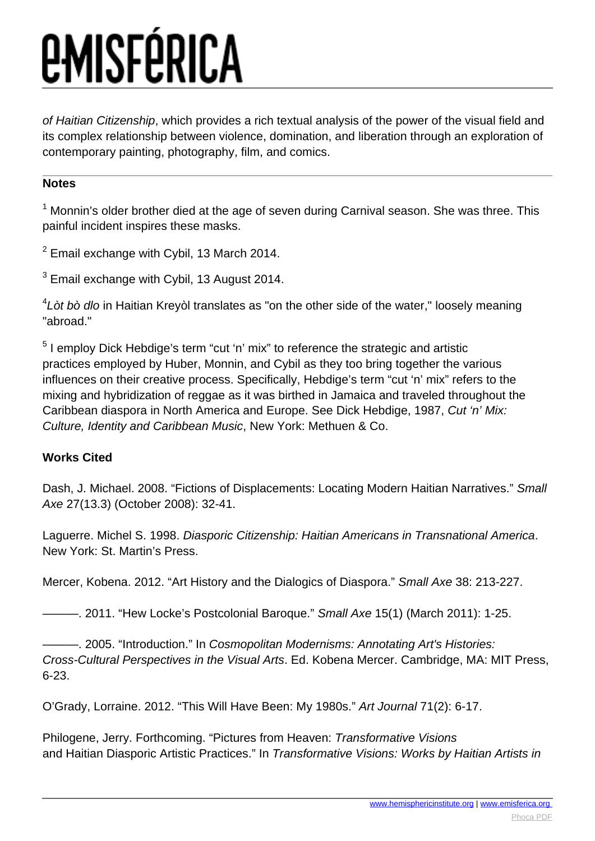of Haitian Citizenship, which provides a rich textual analysis of the power of the visual field and its complex relationship between violence, domination, and liberation through an exploration of contemporary painting, photography, film, and comics.

#### **Notes**

 $<sup>1</sup>$  Monnin's older brother died at the age of seven during Carnival season. She was three. This</sup> painful incident inspires these masks.

 $2$  Email exchange with Cybil, 13 March 2014.

 $3$  Email exchange with Cybil, 13 August 2014.

 ${}^{4}$ Lòt bò dlo in Haitian Kreyòl translates as "on the other side of the water," loosely meaning "abroad."

<sup>5</sup> I employ Dick Hebdige's term "cut 'n' mix" to reference the strategic and artistic practices employed by Huber, Monnin, and Cybil as they too bring together the various influences on their creative process. Specifically, Hebdige's term "cut 'n' mix" refers to the mixing and hybridization of reggae as it was birthed in Jamaica and traveled throughout the Caribbean diaspora in North America and Europe. See Dick Hebdige, 1987, Cut 'n' Mix: Culture, Identity and Caribbean Music, New York: Methuen & Co.

#### **Works Cited**

Dash, J. Michael. 2008. "Fictions of Displacements: Locating Modern Haitian Narratives." Small Axe 27(13.3) (October 2008): 32-41.

Laguerre. Michel S. 1998. Diasporic Citizenship: Haitian Americans in Transnational America. New York: St. Martin's Press.

Mercer, Kobena. 2012. "Art History and the Dialogics of Diaspora." Small Axe 38: 213-227.

- 2011. "Hew Locke's Postcolonial Baroque." Small Axe 15(1) (March 2011): 1-25.

-. 2005. "Introduction." In Cosmopolitan Modernisms: Annotating Art's Histories: Cross-Cultural Perspectives in the Visual Arts. Ed. Kobena Mercer. Cambridge, MA: MIT Press, 6-23.

O'Grady, Lorraine. 2012. "This Will Have Been: My 1980s." Art Journal 71(2): 6-17.

Philogene, Jerry. Forthcoming. "Pictures from Heaven: Transformative Visions and Haitian Diasporic Artistic Practices." In Transformative Visions: Works by Haitian Artists in